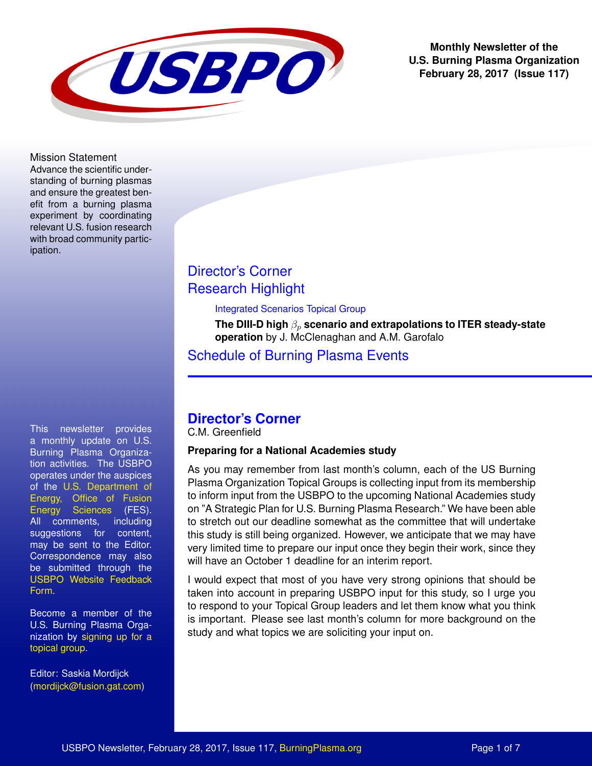

**Monthly Newsletter of the U.S. Burning Plasma Organization February 28, 2017 (Issue 117)**

Mission Statement

Advance the scientific understanding of burning plasmas and ensure the greatest benefit from a burning plasma experiment by coordinating relevant U.S. fusion research with broad community participation.

This newsletter provides a monthly update on U.S. Burning Plasma Organization activities. The USBPO operates under the auspices of the [U.S. Department of](http://science.energy.gov/fes/) [Energy, Office of Fusion](http://science.energy.gov/fes/) [Energy Sciences](http://science.energy.gov/fes/) (FES). All comments, including suggestions for content, may be sent to the Editor. Correspondence may also be submitted through the [USBPO Website Feedback](http://burningplasma.org/referencesandlinks/?article=feedback%20request) [Form.](http://burningplasma.org/referencesandlinks/?article=feedback%20request)

Become a member of the U.S. Burning Plasma Organization by [signing up for a](http://burningplasma.org/referencesandlinks/?article=USBPO%20Membership) [topical group.](http://burningplasma.org/referencesandlinks/?article=USBPO%20Membership)

Editor: Saskia Mordijck [\(mordijck@fusion.gat.com\)](mailto:mordijck@fusion.gat.com?subject=BPO%20Newsletter)

# [Director's Corner](#page-0-0) [Research Highlight](#page-2-0)

Integrated Scenarios Topical Group

**The DIII-D high**  $β_p$  scenario and extrapolations to ITER steady-state **operation** by J. McClenaghan and A.M. Garofalo

[Schedule of Burning Plasma Events](#page-5-0)

# <span id="page-0-0"></span>**Director's Corner**

C.M. Greenfield

### **Preparing for a National Academies study**

As you may remember from last month's column, each of the US Burning Plasma Organization Topical Groups is collecting input from its membership to inform input from the USBPO to the upcoming National Academies study on "A Strategic Plan for U.S. Burning Plasma Research." We have been able to stretch out our deadline somewhat as the committee that will undertake this study is still being organized. However, we anticipate that we may have very limited time to prepare our input once they begin their work, since they will have an October 1 deadline for an interim report.

I would expect that most of you have very strong opinions that should be taken into account in preparing USBPO input for this study, so I urge you to respond to your Topical Group leaders and let them know what you think is important. Please see last month's column for more background on the study and what topics we are soliciting your input on.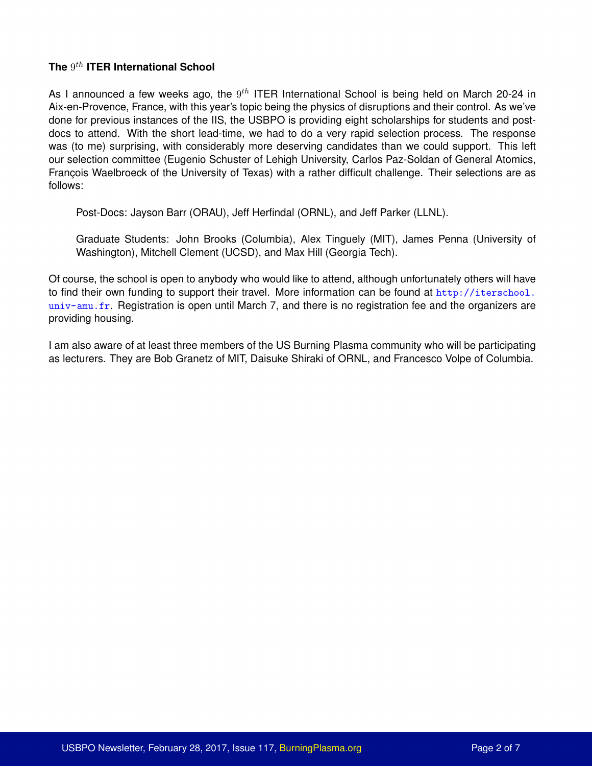### **The** 9 th **ITER International School**

As I announced a few weeks ago, the  $9^{th}$  ITER International School is being held on March 20-24 in Aix-en-Provence, France, with this year's topic being the physics of disruptions and their control. As we've done for previous instances of the IIS, the USBPO is providing eight scholarships for students and postdocs to attend. With the short lead-time, we had to do a very rapid selection process. The response was (to me) surprising, with considerably more deserving candidates than we could support. This left our selection committee (Eugenio Schuster of Lehigh University, Carlos Paz-Soldan of General Atomics, Francois Waelbroeck of the University of Texas) with a rather difficult challenge. Their selections are as follows:

Post-Docs: Jayson Barr (ORAU), Jeff Herfindal (ORNL), and Jeff Parker (LLNL).

Graduate Students: John Brooks (Columbia), Alex Tinguely (MIT), James Penna (University of Washington), Mitchell Clement (UCSD), and Max Hill (Georgia Tech).

Of course, the school is open to anybody who would like to attend, although unfortunately others will have to find their own funding to support their travel. More information can be found at [http://iterschool.](http://iterschool.univ-amu.fr) [univ-amu.fr](http://iterschool.univ-amu.fr). Registration is open until March 7, and there is no registration fee and the organizers are providing housing.

I am also aware of at least three members of the US Burning Plasma community who will be participating as lecturers. They are Bob Granetz of MIT, Daisuke Shiraki of ORNL, and Francesco Volpe of Columbia.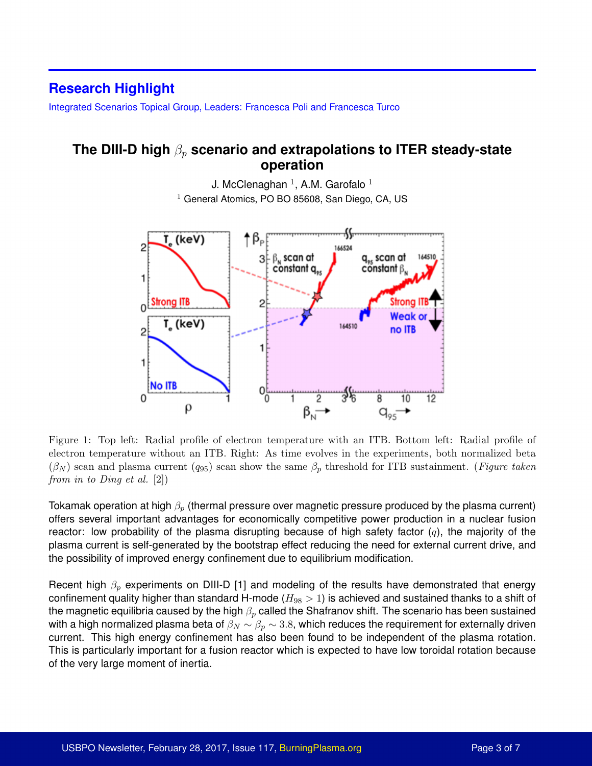## <span id="page-2-0"></span>**Research Highlight**

Integrated Scenarios Topical Group, Leaders: Francesca Poli and Francesca Turco

### **The DIII-D high**  $β<sub>p</sub>$  **scenario and extrapolations to ITER steady-state operation**

J. McClenaghan  $^1$ , A.M. Garofalo  $^1$  $1$  General Atomics, PO BO 85608, San Diego, CA, US

<span id="page-2-1"></span>

Figure 1: Top left: Radial profile of electron temperature with an ITB. Bottom left: Radial profile of electron temperature without an ITB. Right: As time evolves in the experiments, both normalized beta  $(\beta_N)$  scan and plasma current  $(q_{95})$  scan show the same  $\beta_p$  threshold for ITB sustainment. (Figure taken from in to Ding et al. [2])

Tokamak operation at high  $\beta_p$  (thermal pressure over magnetic pressure produced by the plasma current) offers several important advantages for economically competitive power production in a nuclear fusion reactor: low probability of the plasma disrupting because of high safety factor  $(q)$ , the majority of the plasma current is self-generated by the bootstrap effect reducing the need for external current drive, and the possibility of improved energy confinement due to equilibrium modification.

Recent high  $\beta_p$  experiments on DIII-D [1] and modeling of the results have demonstrated that energy confinement quality higher than standard H-mode ( $H_{98} > 1$ ) is achieved and sustained thanks to a shift of the magnetic equilibria caused by the high  $\beta_p$  called the Shafranov shift. The scenario has been sustained with a high normalized plasma beta of  $\beta_N \sim \beta_p \sim 3.8$ , which reduces the requirement for externally driven current. This high energy confinement has also been found to be independent of the plasma rotation. This is particularly important for a fusion reactor which is expected to have low toroidal rotation because of the very large moment of inertia.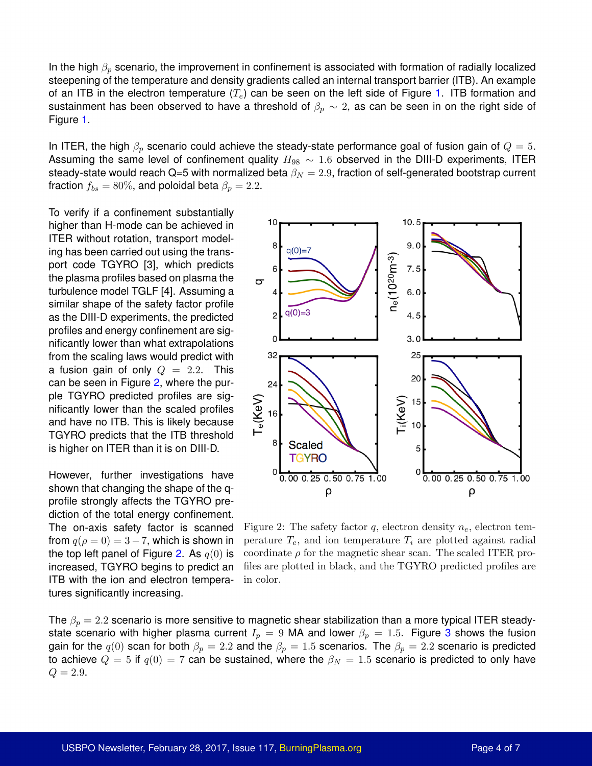In the high  $\beta_p$  scenario, the improvement in confinement is associated with formation of radially localized steepening of the temperature and density gradients called an internal transport barrier (ITB). An example of an ITB in the electron temperature  $(T_e)$  can be seen on the left side of Figure [1.](#page-2-1) ITB formation and sustainment has been observed to have a threshold of  $\beta_p \sim 2$ , as can be seen in on the right side of Figure [1.](#page-2-1)

In ITER, the high  $\beta_p$  scenario could achieve the steady-state performance goal of fusion gain of  $Q = 5$ . Assuming the same level of confinement quality  $H_{98} \sim 1.6$  observed in the DIII-D experiments, ITER steady-state would reach Q=5 with normalized beta  $\beta_N = 2.9$ , fraction of self-generated bootstrap current fraction  $f_{bs} = 80\%$ , and poloidal beta  $\beta_p = 2.2$ .

To verify if a confinement substantially higher than H-mode can be achieved in ITER without rotation, transport modeling has been carried out using the transport code TGYRO [3], which predicts the plasma profiles based on plasma the turbulence model TGLF [4]. Assuming a similar shape of the safety factor profile as the DIII-D experiments, the predicted profiles and energy confinement are significantly lower than what extrapolations from the scaling laws would predict with a fusion gain of only  $Q = 2.2$ . This can be seen in Figure [2,](#page-3-0) where the purple TGYRO predicted profiles are significantly lower than the scaled profiles and have no ITB. This is likely because TGYRO predicts that the ITB threshold is higher on ITER than it is on DIII-D.

However, further investigations have shown that changing the shape of the qprofile strongly affects the TGYRO prediction of the total energy confinement. The on-axis safety factor is scanned from  $q(\rho = 0) = 3 - 7$ , which is shown in the top left panel of Figure [2.](#page-3-0) As  $q(0)$  is increased, TGYRO begins to predict an ITB with the ion and electron temperatures significantly increasing.

<span id="page-3-0"></span>

Figure 2: The safety factor q, electron density  $n_e$ , electron temperature  $T_e$ , and ion temperature  $T_i$  are plotted against radial coordinate  $\rho$  for the magnetic shear scan. The scaled ITER profiles are plotted in black, and the TGYRO predicted profiles are in color.

The  $\beta_p = 2.2$  scenario is more sensitive to magnetic shear stabilization than a more typical ITER steadystate scenario with higher plasma current  $I_p = 9$  MA and lower  $\beta_p = 1.5$ . Figure [3](#page-4-0) shows the fusion gain for the  $q(0)$  scan for both  $\beta_p = 2.2$  and the  $\beta_p = 1.5$  scenarios. The  $\beta_p = 2.2$  scenario is predicted to achieve  $Q = 5$  if  $q(0) = 7$  can be sustained, where the  $\beta_N = 1.5$  scenario is predicted to only have  $Q = 2.9.$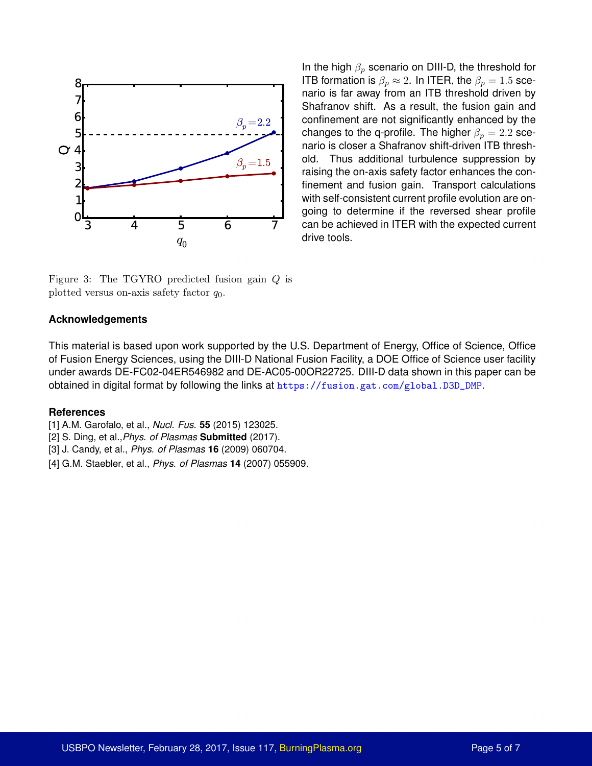<span id="page-4-0"></span>

In the high  $\beta_p$  scenario on DIII-D, the threshold for ITB formation is  $\beta_p \approx 2$ . In ITER, the  $\beta_p = 1.5$  scenario is far away from an ITB threshold driven by Shafranov shift. As a result, the fusion gain and confinement are not significantly enhanced by the changes to the q-profile. The higher  $\beta_p = 2.2$  scenario is closer a Shafranov shift-driven ITB threshold. Thus additional turbulence suppression by raising the on-axis safety factor enhances the confinement and fusion gain. Transport calculations with self-consistent current profile evolution are ongoing to determine if the reversed shear profile can be achieved in ITER with the expected current drive tools.

Figure 3: The TGYRO predicted fusion gain Q is plotted versus on-axis safety factor  $q_0$ .

#### **Acknowledgements**

This material is based upon work supported by the U.S. Department of Energy, Office of Science, Office of Fusion Energy Sciences, using the DIII-D National Fusion Facility, a DOE Office of Science user facility under awards DE-FC02-04ER546982 and DE-AC05-00OR22725. DIII-D data shown in this paper can be obtained in digital format by following the links at [https://fusion.gat.com/global.D3D\\_DMP](https://fusion.gat.com/global.D3D_DMP).

#### **References**

- [1] A.M. Garofalo, et al., *Nucl. Fus.* **55** (2015) 123025.
- [2] S. Ding, et al.,*Phys. of Plasmas* **Submitted** (2017).
- [3] J. Candy, et al., *Phys. of Plasmas* **16** (2009) 060704.
- [4] G.M. Staebler, et al., *Phys. of Plasmas* **14** (2007) 055909.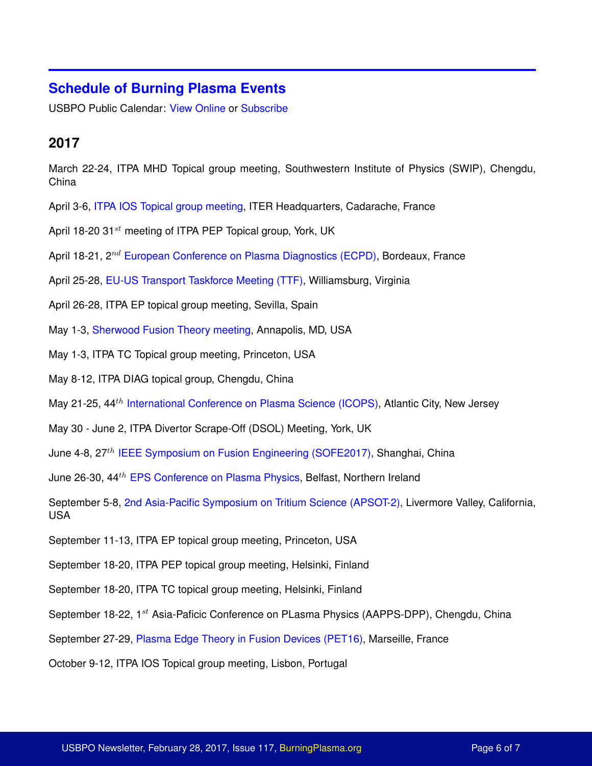## <span id="page-5-0"></span>**Schedule of Burning Plasma Events**

USBPO Public Calendar: [View Online](https://burningplasma.org/forum/index.php?app=calendar) or [Subscribe](webcal://burningplasma.org/forum/index.php?app=calendar&module=feed§ion=output&cal_id=1)

# **2017**

March 22-24, ITPA MHD Topical group meeting, Southwestern Institute of Physics (SWIP), Chengdu, China

- April 3-6, [ITPA IOS Topical group meeting,](http://www.iter.org/org/team/fst/itpa/meetings?id=103) ITER Headquarters, Cadarache, France
- April 18-20 31 $st$  meeting of ITPA PEP Topical group, York, UK
- April 18-21, 2<sup>nd</sup> [European Conference on Plasma Diagnostics \(ECPD\),](https://ecpd2017.sciencesconf.org/) Bordeaux, France
- April 25-28, [EU-US Transport Taskforce Meeting \(TTF\),](https://fusion.gat.com/conferences/ttf17/) Williamsburg, Virginia
- April 26-28, ITPA EP topical group meeting, Sevilla, Spain
- May 1-3, [Sherwood Fusion Theory meeting,](http://www.sherwoodtheory.org/sw2017/index.php) Annapolis, MD, USA
- May 1-3, ITPA TC Topical group meeting, Princeton, USA
- May 8-12, ITPA DIAG topical group, Chengdu, China
- May 21-25, 44<sup>th</sup> [International Conference on Plasma Science \(ICOPS\),](http://www.shu.edu./international-conference-plasma-science/index.cfm) Atlantic City, New Jersey
- May 30 June 2, ITPA Divertor Scrape-Off (DSOL) Meeting, York, UK
- June 4-8, 27<sup>th</sup> [IEEE Symposium on Fusion Engineering \(SOFE2017\),](https://sofe2017.princeton.edu/) Shanghai, China

June 26-30, 44<sup>th</sup> [EPS Conference on Plasma Physics,](https://www.qub.ac.uk/sites/eps2017/) Belfast, Northern Ireland

September 5-8, [2nd Asia-Pacific Symposium on Tritium Science \(APSOT-2\),](https://connect.sandia.gov/sites/apsot2) Livermore Valley, California, USA

- September 11-13, ITPA EP topical group meeting, Princeton, USA
- September 18-20, ITPA PEP topical group meeting, Helsinki, Finland
- September 18-20, ITPA TC topical group meeting, Helsinki, Finland
- September 18-22, 1<sup>st</sup> Asia-Paficic Conference on PLasma Physics (AAPPS-DPP), Chengdu, China

September 27-29, [Plasma Edge Theory in Fusion Devices \(PET16\),](https://pet16.sciencesconf.org/) Marseille, France

October 9-12, ITPA IOS Topical group meeting, Lisbon, Portugal